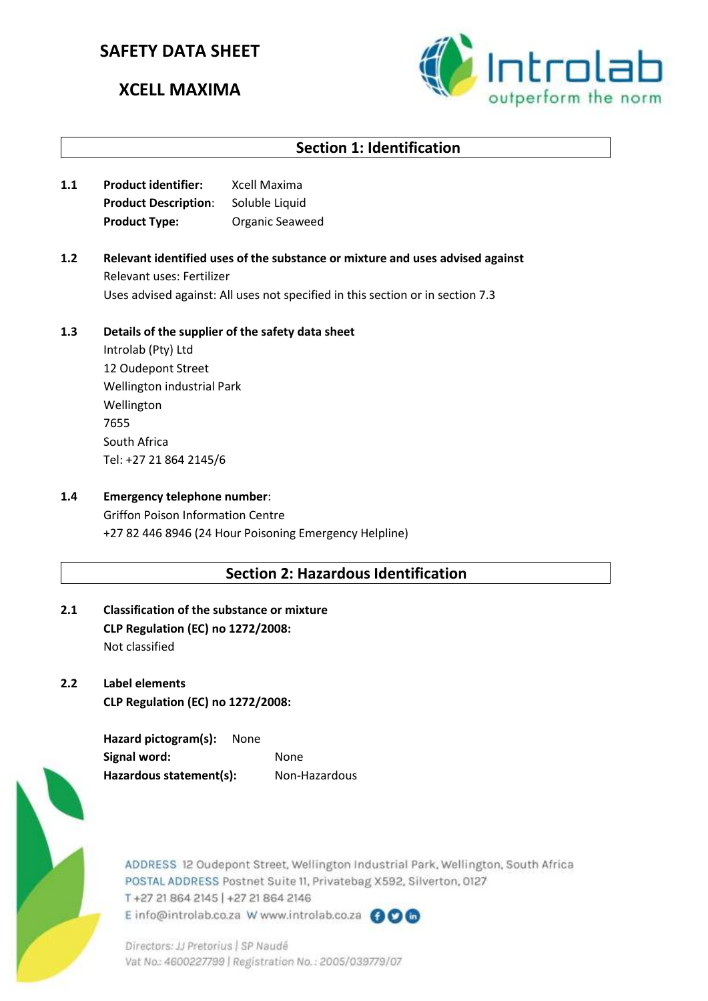# **SAFETY DATA SHEET**

# **XCELL MAXIMA**



# **Section 1: Identification**

- **1.1 Product identifier:** Xcell Maxima **Product Description:** Soluble Liquid **Product Type:** Organic Seaweed
- **1.2 Relevant identified uses of the substance or mixture and uses advised against** Relevant uses: Fertilizer Uses advised against: All uses not specified in this section or in section 7.3

### **1.3 Details of the supplier of the safety data sheet**

Introlab (Pty) Ltd 12 Oudepont Street Wellington industrial Park Wellington 7655 South Africa Tel: +27 21 864 2145/6

### **1.4 Emergency telephone number**:

Griffon Poison Information Centre +27 82 446 8946 (24 Hour Poisoning Emergency Helpline)

## **Section 2: Hazardous Identification**

- **2.1 Classification of the substance or mixture CLP Regulation (EC) no 1272/2008:** Not classified
- **2.2 Label elements CLP Regulation (EC) no 1272/2008:**

**Hazard pictogram(s):** None **Signal word:** None Hazardous statement(s): Non-Hazardous



ADDRESS 12 Oudepont Street, Wellington Industrial Park, Wellington, South Africa POSTAL ADDRESS Postnet Suite 11, Privatebag X592, Silverton, 0127 T+27 21 864 2145 | +27 21 864 2146 E info@introlab.co.za W www.introlab.co.za @OG

Directors: JJ Pretorius | SP Naudé Vat No.: 4600227799 | Registration No.: 2005/039779/07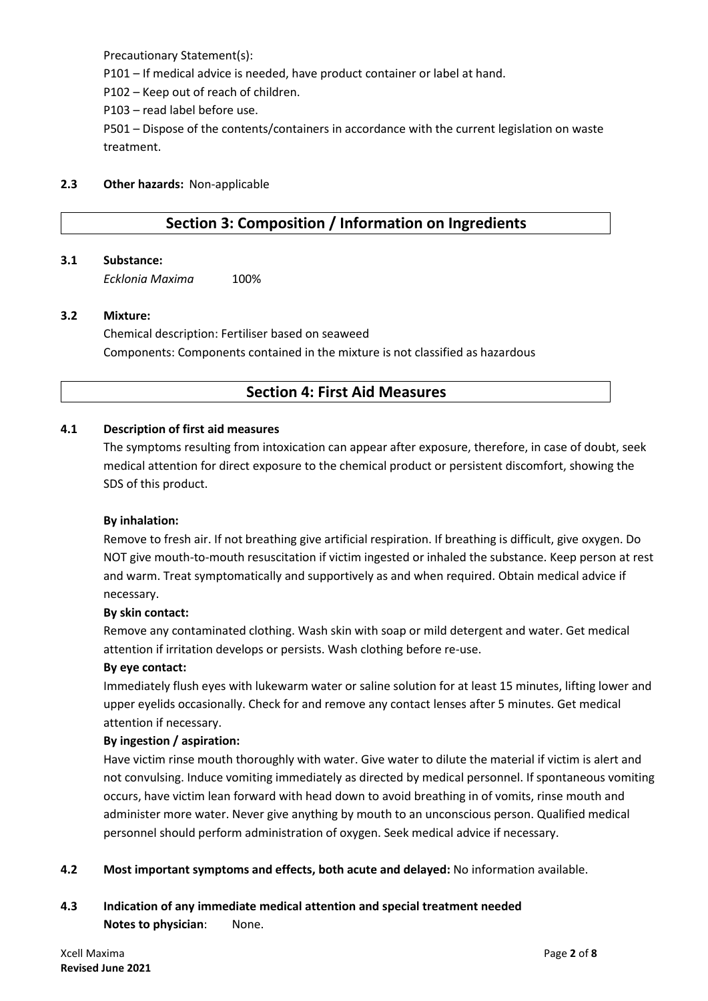Precautionary Statement(s):

P101 – If medical advice is needed, have product container or label at hand.

P102 – Keep out of reach of children.

P103 – read label before use.

P501 – Dispose of the contents/containers in accordance with the current legislation on waste treatment.

#### **2.3 Other hazards:** Non-applicable

# **Section 3: Composition / Information on Ingredients**

#### **3.1 Substance:**

*Ecklonia Maxima* 100%

#### **3.2 Mixture:**

Chemical description: Fertiliser based on seaweed Components: Components contained in the mixture is not classified as hazardous

## **Section 4: First Aid Measures**

#### **4.1 Description of first aid measures**

The symptoms resulting from intoxication can appear after exposure, therefore, in case of doubt, seek medical attention for direct exposure to the chemical product or persistent discomfort, showing the SDS of this product.

#### **By inhalation:**

Remove to fresh air. If not breathing give artificial respiration. If breathing is difficult, give oxygen. Do NOT give mouth-to-mouth resuscitation if victim ingested or inhaled the substance. Keep person at rest and warm. Treat symptomatically and supportively as and when required. Obtain medical advice if necessary.

#### **By skin contact:**

Remove any contaminated clothing. Wash skin with soap or mild detergent and water. Get medical attention if irritation develops or persists. Wash clothing before re-use.

#### **By eye contact:**

Immediately flush eyes with lukewarm water or saline solution for at least 15 minutes, lifting lower and upper eyelids occasionally. Check for and remove any contact lenses after 5 minutes. Get medical attention if necessary.

#### **By ingestion / aspiration:**

Have victim rinse mouth thoroughly with water. Give water to dilute the material if victim is alert and not convulsing. Induce vomiting immediately as directed by medical personnel. If spontaneous vomiting occurs, have victim lean forward with head down to avoid breathing in of vomits, rinse mouth and administer more water. Never give anything by mouth to an unconscious person. Qualified medical personnel should perform administration of oxygen. Seek medical advice if necessary.

**4.2 Most important symptoms and effects, both acute and delayed:** No information available.

# **4.3 Indication of any immediate medical attention and special treatment needed Notes to physician**: None.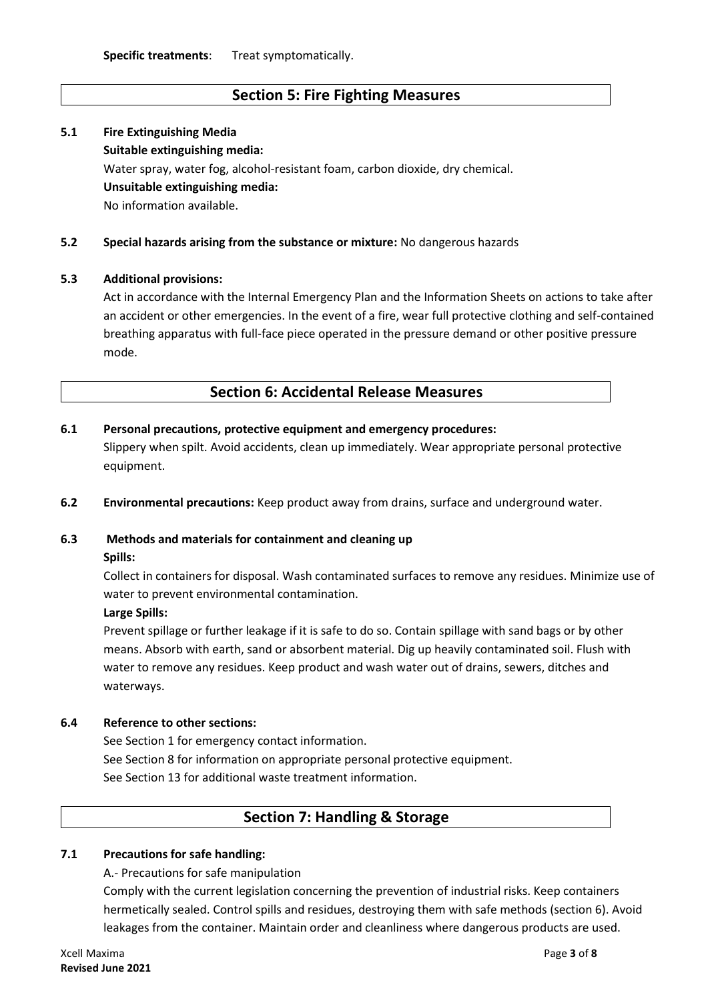# **Section 5: Fire Fighting Measures**

# **5.1 Fire Extinguishing Media Suitable extinguishing media:** Water spray, water fog, alcohol-resistant foam, carbon dioxide, dry chemical. **Unsuitable extinguishing media:** No information available.

#### **5.2 Special hazards arising from the substance or mixture:** No dangerous hazards

#### **5.3 Additional provisions:**

Act in accordance with the Internal Emergency Plan and the Information Sheets on actions to take after an accident or other emergencies. In the event of a fire, wear full protective clothing and self-contained breathing apparatus with full-face piece operated in the pressure demand or other positive pressure mode.

### **Section 6: Accidental Release Measures**

#### **6.1 Personal precautions, protective equipment and emergency procedures:**

Slippery when spilt. Avoid accidents, clean up immediately. Wear appropriate personal protective equipment.

**6.2 Environmental precautions:** Keep product away from drains, surface and underground water.

# **6.3 Methods and materials for containment and cleaning up**

#### **Spills:**

Collect in containers for disposal. Wash contaminated surfaces to remove any residues. Minimize use of water to prevent environmental contamination.

#### **Large Spills:**

Prevent spillage or further leakage if it is safe to do so. Contain spillage with sand bags or by other means. Absorb with earth, sand or absorbent material. Dig up heavily contaminated soil. Flush with water to remove any residues. Keep product and wash water out of drains, sewers, ditches and waterways.

#### **6.4 Reference to other sections:**

See Section 1 for emergency contact information. See Section 8 for information on appropriate personal protective equipment. See Section 13 for additional waste treatment information.

## **Section 7: Handling & Storage**

### **7.1 Precautions for safe handling:**

A.- Precautions for safe manipulation

Comply with the current legislation concerning the prevention of industrial risks. Keep containers hermetically sealed. Control spills and residues, destroying them with safe methods (section 6). Avoid leakages from the container. Maintain order and cleanliness where dangerous products are used.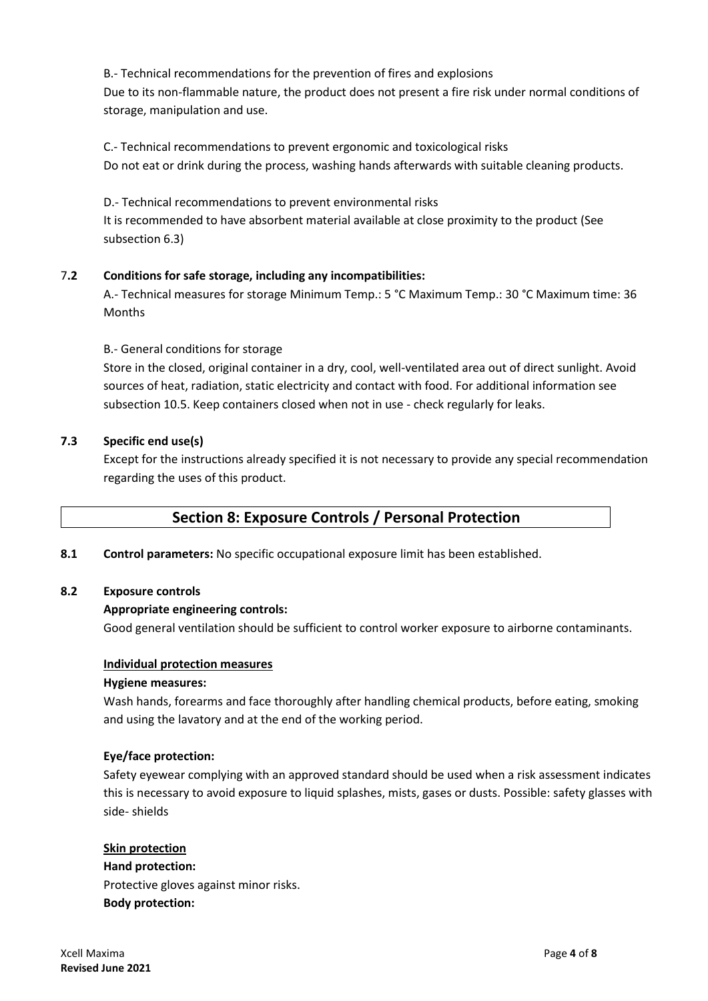B.- Technical recommendations for the prevention of fires and explosions Due to its non-flammable nature, the product does not present a fire risk under normal conditions of storage, manipulation and use.

C.- Technical recommendations to prevent ergonomic and toxicological risks Do not eat or drink during the process, washing hands afterwards with suitable cleaning products.

D.- Technical recommendations to prevent environmental risks It is recommended to have absorbent material available at close proximity to the product (See subsection 6.3)

### 7**.2 Conditions for safe storage, including any incompatibilities:**

A.- Technical measures for storage Minimum Temp.: 5 °C Maximum Temp.: 30 °C Maximum time: 36 Months

#### B.- General conditions for storage

Store in the closed, original container in a dry, cool, well-ventilated area out of direct sunlight. Avoid sources of heat, radiation, static electricity and contact with food. For additional information see subsection 10.5. Keep containers closed when not in use - check regularly for leaks.

#### **7.3 Specific end use(s)**

Except for the instructions already specified it is not necessary to provide any special recommendation regarding the uses of this product.

## **Section 8: Exposure Controls / Personal Protection**

**8.1 Control parameters:** No specific occupational exposure limit has been established.

#### **8.2 Exposure controls**

#### **Appropriate engineering controls:**

Good general ventilation should be sufficient to control worker exposure to airborne contaminants.

#### **Individual protection measures**

#### **Hygiene measures:**

Wash hands, forearms and face thoroughly after handling chemical products, before eating, smoking and using the lavatory and at the end of the working period.

#### **Eye/face protection:**

Safety eyewear complying with an approved standard should be used when a risk assessment indicates this is necessary to avoid exposure to liquid splashes, mists, gases or dusts. Possible: safety glasses with side- shields

#### **Skin protection**

**Hand protection:** Protective gloves against minor risks. **Body protection:**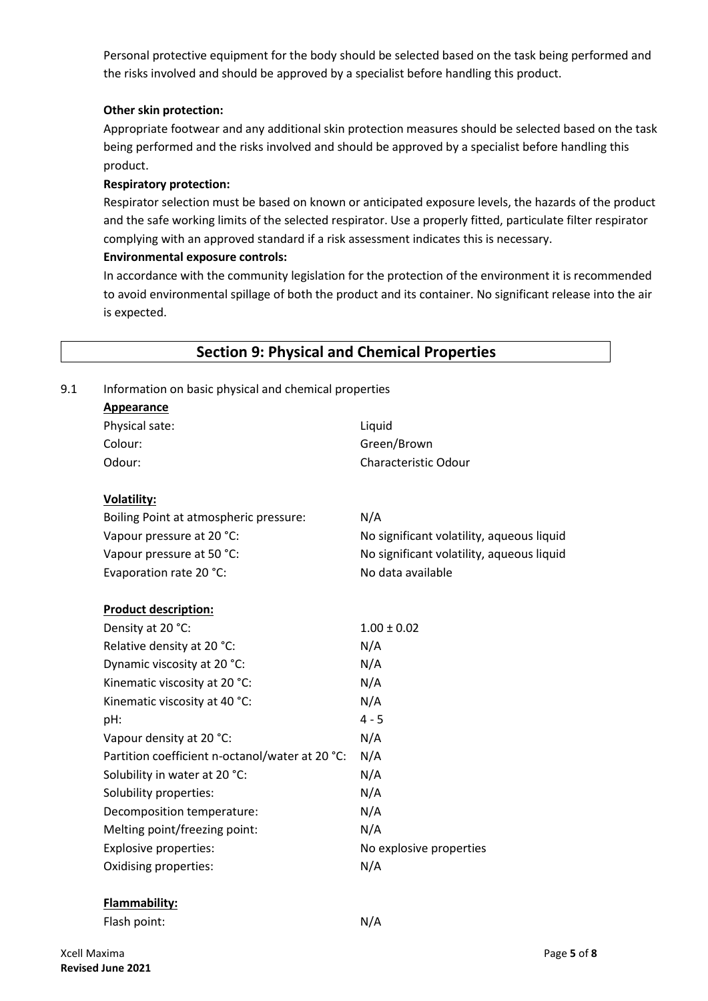Personal protective equipment for the body should be selected based on the task being performed and the risks involved and should be approved by a specialist before handling this product.

#### **Other skin protection:**

Appropriate footwear and any additional skin protection measures should be selected based on the task being performed and the risks involved and should be approved by a specialist before handling this product.

#### **Respiratory protection:**

Respirator selection must be based on known or anticipated exposure levels, the hazards of the product and the safe working limits of the selected respirator. Use a properly fitted, particulate filter respirator complying with an approved standard if a risk assessment indicates this is necessary.

#### **Environmental exposure controls:**

In accordance with the community legislation for the protection of the environment it is recommended to avoid environmental spillage of both the product and its container. No significant release into the air is expected.

| Information on basic physical and chemical properties |                                           |  |  |  |  |
|-------------------------------------------------------|-------------------------------------------|--|--|--|--|
| <b>Appearance</b>                                     |                                           |  |  |  |  |
| Physical sate:                                        | Liquid                                    |  |  |  |  |
| Colour:                                               | Green/Brown                               |  |  |  |  |
| Odour:                                                | Characteristic Odour                      |  |  |  |  |
| <b>Volatility:</b>                                    |                                           |  |  |  |  |
| Boiling Point at atmospheric pressure:                | N/A                                       |  |  |  |  |
| Vapour pressure at 20 °C:                             | No significant volatility, aqueous liquid |  |  |  |  |
| Vapour pressure at 50 °C:                             | No significant volatility, aqueous liquid |  |  |  |  |
| Evaporation rate 20 °C:                               | No data available                         |  |  |  |  |
| <b>Product description:</b>                           |                                           |  |  |  |  |
| Density at 20 °C:                                     | $1.00 \pm 0.02$                           |  |  |  |  |
| Relative density at 20 °C:                            | N/A                                       |  |  |  |  |
| Dynamic viscosity at 20 °C:                           | N/A                                       |  |  |  |  |
| Kinematic viscosity at 20 °C:                         | N/A                                       |  |  |  |  |
| Kinematic viscosity at 40 °C:                         | N/A                                       |  |  |  |  |
| pH:                                                   | $4 - 5$                                   |  |  |  |  |
| Vapour density at 20 °C:                              | N/A                                       |  |  |  |  |
| Partition coefficient n-octanol/water at 20 °C:       | N/A                                       |  |  |  |  |
| Solubility in water at 20 °C:                         | N/A                                       |  |  |  |  |
| Solubility properties:                                | N/A                                       |  |  |  |  |
| Decomposition temperature:                            | N/A                                       |  |  |  |  |
| Melting point/freezing point:                         | N/A                                       |  |  |  |  |
| Explosive properties:                                 | No explosive properties                   |  |  |  |  |
| Oxidising properties:                                 | N/A                                       |  |  |  |  |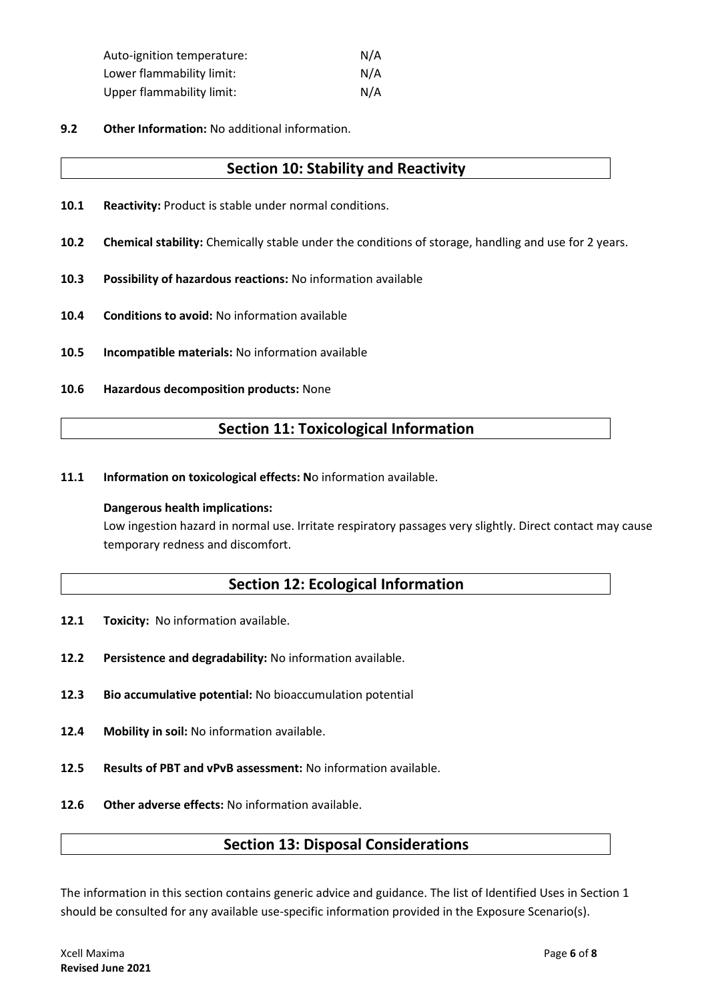| Auto-ignition temperature:       | N/A |
|----------------------------------|-----|
| Lower flammability limit:        | N/A |
| <b>Upper flammability limit:</b> | N/A |

**9.2 Other Information:** No additional information.

### **Section 10: Stability and Reactivity**

- **10.1 Reactivity:** Product is stable under normal conditions.
- **10.2 Chemical stability:** Chemically stable under the conditions of storage, handling and use for 2 years.
- **10.3 Possibility of hazardous reactions:** No information available
- **10.4 Conditions to avoid:** No information available
- **10.5 Incompatible materials:** No information available
- **10.6 Hazardous decomposition products:** None

# **Section 11: Toxicological Information**

**11.1 Information on toxicological effects: No information available.** 

#### **Dangerous health implications:**

Low ingestion hazard in normal use. Irritate respiratory passages very slightly. Direct contact may cause temporary redness and discomfort.

## **Section 12: Ecological Information**

- 12.1 **Toxicity:** No information available.
- **12.2 Persistence and degradability:** No information available.
- **12.3 Bio accumulative potential:** No bioaccumulation potential
- **12.4 Mobility in soil:** No information available.
- **12.5 Results of PBT and vPvB assessment:** No information available.
- **12.6 Other adverse effects:** No information available.

## **Section 13: Disposal Considerations**

The information in this section contains generic advice and guidance. The list of Identified Uses in Section 1 should be consulted for any available use-specific information provided in the Exposure Scenario(s).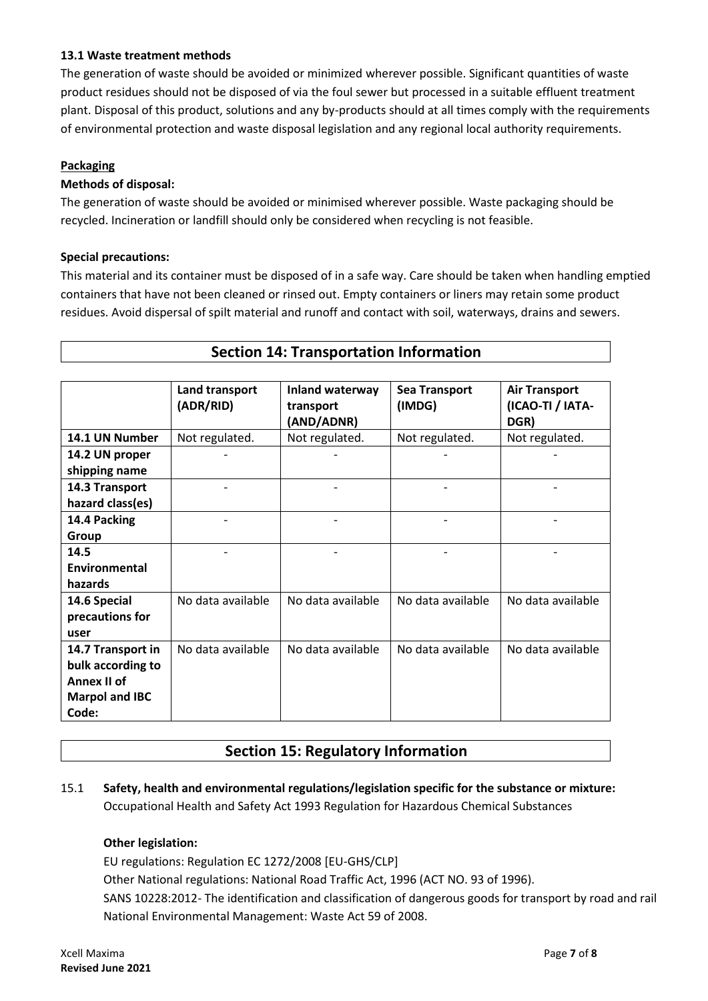### **13.1 Waste treatment methods**

The generation of waste should be avoided or minimized wherever possible. Significant quantities of waste product residues should not be disposed of via the foul sewer but processed in a suitable effluent treatment plant. Disposal of this product, solutions and any by-products should at all times comply with the requirements of environmental protection and waste disposal legislation and any regional local authority requirements.

#### **Packaging**

#### **Methods of disposal:**

The generation of waste should be avoided or minimised wherever possible. Waste packaging should be recycled. Incineration or landfill should only be considered when recycling is not feasible.

#### **Special precautions:**

This material and its container must be disposed of in a safe way. Care should be taken when handling emptied containers that have not been cleaned or rinsed out. Empty containers or liners may retain some product residues. Avoid dispersal of spilt material and runoff and contact with soil, waterways, drains and sewers.

| <b>Section 14: Transportation Information</b>                                           |                             |                                            |                                |                                                  |  |  |
|-----------------------------------------------------------------------------------------|-----------------------------|--------------------------------------------|--------------------------------|--------------------------------------------------|--|--|
|                                                                                         |                             |                                            |                                |                                                  |  |  |
|                                                                                         | Land transport<br>(ADR/RID) | Inland waterway<br>transport<br>(AND/ADNR) | <b>Sea Transport</b><br>(IMDG) | <b>Air Transport</b><br>(ICAO-TI / IATA-<br>DGR) |  |  |
| 14.1 UN Number                                                                          | Not regulated.              | Not regulated.                             | Not regulated.                 | Not regulated.                                   |  |  |
| 14.2 UN proper<br>shipping name                                                         |                             |                                            |                                |                                                  |  |  |
| 14.3 Transport<br>hazard class(es)                                                      |                             |                                            |                                |                                                  |  |  |
| 14.4 Packing<br>Group                                                                   |                             |                                            |                                |                                                  |  |  |
| 14.5<br>Environmental<br>hazards                                                        |                             |                                            |                                |                                                  |  |  |
| 14.6 Special<br>precautions for<br>user                                                 | No data available           | No data available                          | No data available              | No data available                                |  |  |
| 14.7 Transport in<br>bulk according to<br>Annex II of<br><b>Marpol and IBC</b><br>Code: | No data available           | No data available                          | No data available              | No data available                                |  |  |

# **Section 15: Regulatory Information**

### 15.1 **Safety, health and environmental regulations/legislation specific for the substance or mixture:** Occupational Health and Safety Act 1993 Regulation for Hazardous Chemical Substances

### **Other legislation:**

EU regulations: Regulation EC 1272/2008 [EU-GHS/CLP]

Other National regulations: National Road Traffic Act, 1996 (ACT NO. 93 of 1996).

SANS 10228:2012- The identification and classification of dangerous goods for transport by road and rail National Environmental Management: Waste Act 59 of 2008.